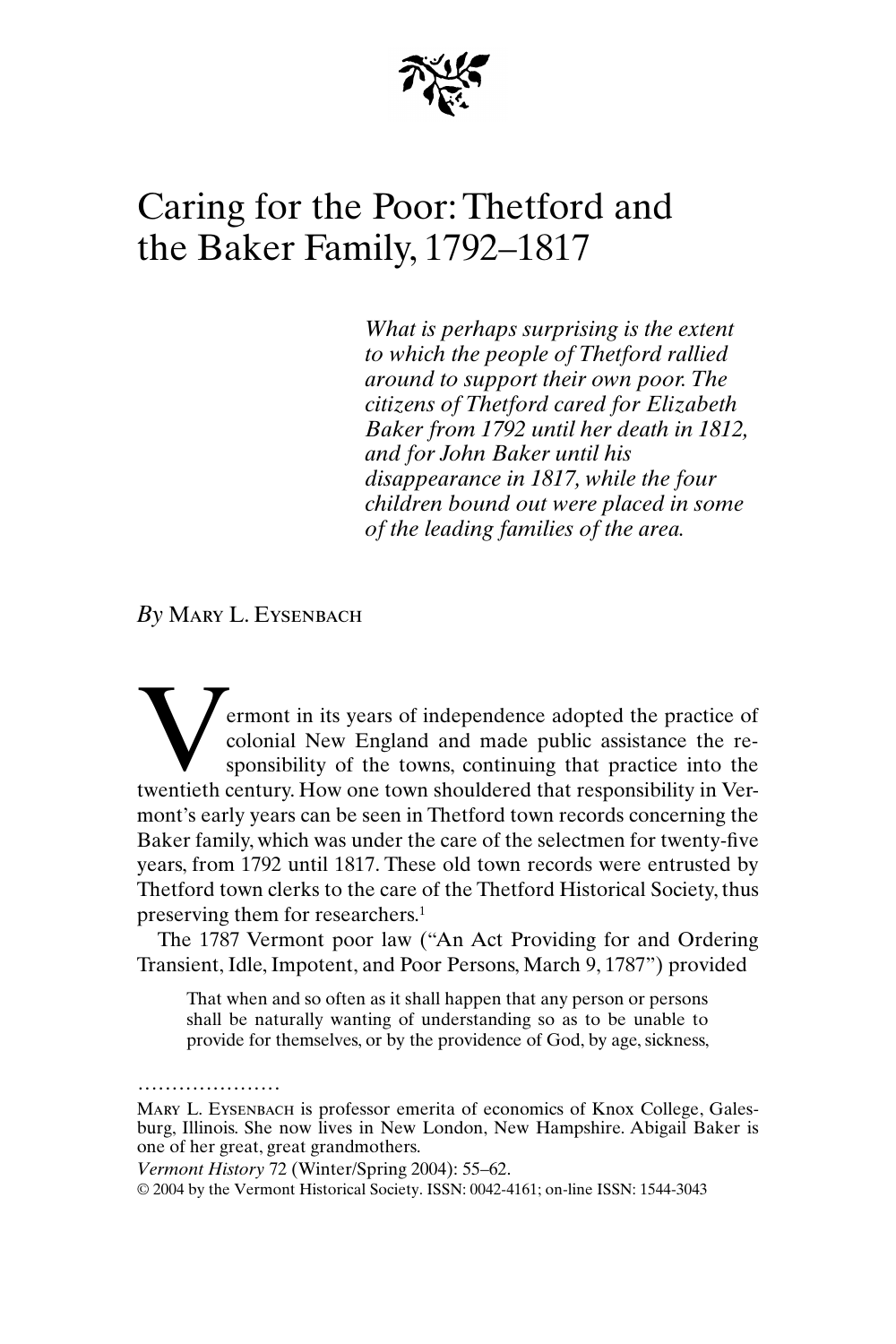

## Caring for the Poor: Thetford and the Baker Family, 1792–1817

*What is perhaps surprising is the extent to which the people of Thetford rallied around to support their own poor. The citizens of Thetford cared for Elizabeth Baker from 1792 until her death in 1812, and for John Baker until his disappearance in 1817, while the four children bound out were placed in some of the leading families of the area.*

*By* Mary L. Eysenbach

ermont in its years of independence adopted the practice of colonial New England and made public assistance the responsibility of the towns, continuing that practice into the **the Contract Contract System** control of the practice of colonial New England and made public assistance the responsibility of the towns, continuing that practice into the twentieth century. How one town shouldered that r mont's early years can be seen in Thetford town records concerning the Baker family, which was under the care of the selectmen for twenty-five years, from 1792 until 1817. These old town records were entrusted by Thetford town clerks to the care of the Thetford Historical Society, thus preserving them for researchers.1

The 1787 Vermont poor law ("An Act Providing for and Ordering Transient, Idle, Impotent, and Poor Persons, March 9, 1787") provided

That when and so often as it shall happen that any person or persons shall be naturally wanting of understanding so as to be unable to provide for themselves, or by the providence of God, by age, sickness,

Mary L. Eysenbach is professor emerita of economics of Knox College, Galesburg, Illinois. She now lives in New London, New Hampshire. Abigail Baker is one of her great, great grandmothers.

*Vermont History* 72 (Winter/Spring 2004): 55–62.

.....................

© 2004 by the Vermont Historical Society. ISSN: 0042-4161; on-line ISSN: 1544-3043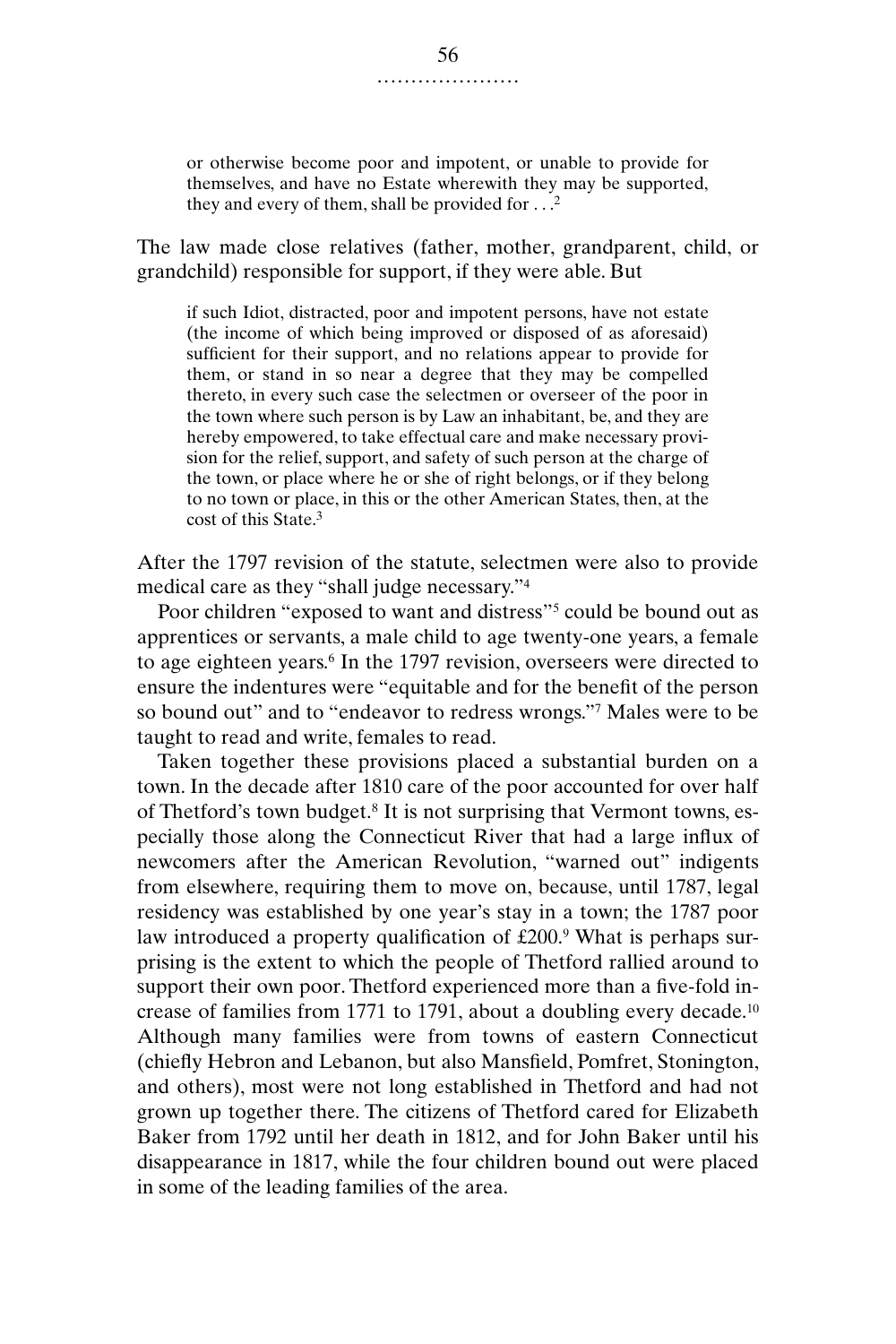or otherwise become poor and impotent, or unable to provide for themselves, and have no Estate wherewith they may be supported, they and every of them, shall be provided for  $\ldots$ <sup>2</sup>

The law made close relatives (father, mother, grandparent, child, or grandchild) responsible for support, if they were able. But

if such Idiot, distracted, poor and impotent persons, have not estate (the income of which being improved or disposed of as aforesaid) sufficient for their support, and no relations appear to provide for them, or stand in so near a degree that they may be compelled thereto, in every such case the selectmen or overseer of the poor in the town where such person is by Law an inhabitant, be, and they are hereby empowered, to take effectual care and make necessary provision for the relief, support, and safety of such person at the charge of the town, or place where he or she of right belongs, or if they belong to no town or place, in this or the other American States, then, at the cost of this State.<sup>3</sup>

After the 1797 revision of the statute, selectmen were also to provide medical care as they "shall judge necessary."4

Poor children "exposed to want and distress"<sup>5</sup> could be bound out as apprentices or servants, a male child to age twenty-one years, a female to age eighteen years.<sup>6</sup> In the 1797 revision, overseers were directed to ensure the indentures were "equitable and for the benefit of the person so bound out" and to "endeavor to redress wrongs."7 Males were to be taught to read and write, females to read.

Taken together these provisions placed a substantial burden on a town. In the decade after 1810 care of the poor accounted for over half of Thetford's town budget.8 It is not surprising that Vermont towns, especially those along the Connecticut River that had a large influx of newcomers after the American Revolution, "warned out" indigents from elsewhere, requiring them to move on, because, until 1787, legal residency was established by one year's stay in a town; the 1787 poor law introduced a property qualification of £200.9 What is perhaps surprising is the extent to which the people of Thetford rallied around to support their own poor. Thetford experienced more than a five-fold increase of families from 1771 to 1791, about a doubling every decade.10 Although many families were from towns of eastern Connecticut (chiefly Hebron and Lebanon, but also Mansfield, Pomfret, Stonington, and others), most were not long established in Thetford and had not grown up together there. The citizens of Thetford cared for Elizabeth Baker from 1792 until her death in 1812, and for John Baker until his disappearance in 1817, while the four children bound out were placed in some of the leading families of the area.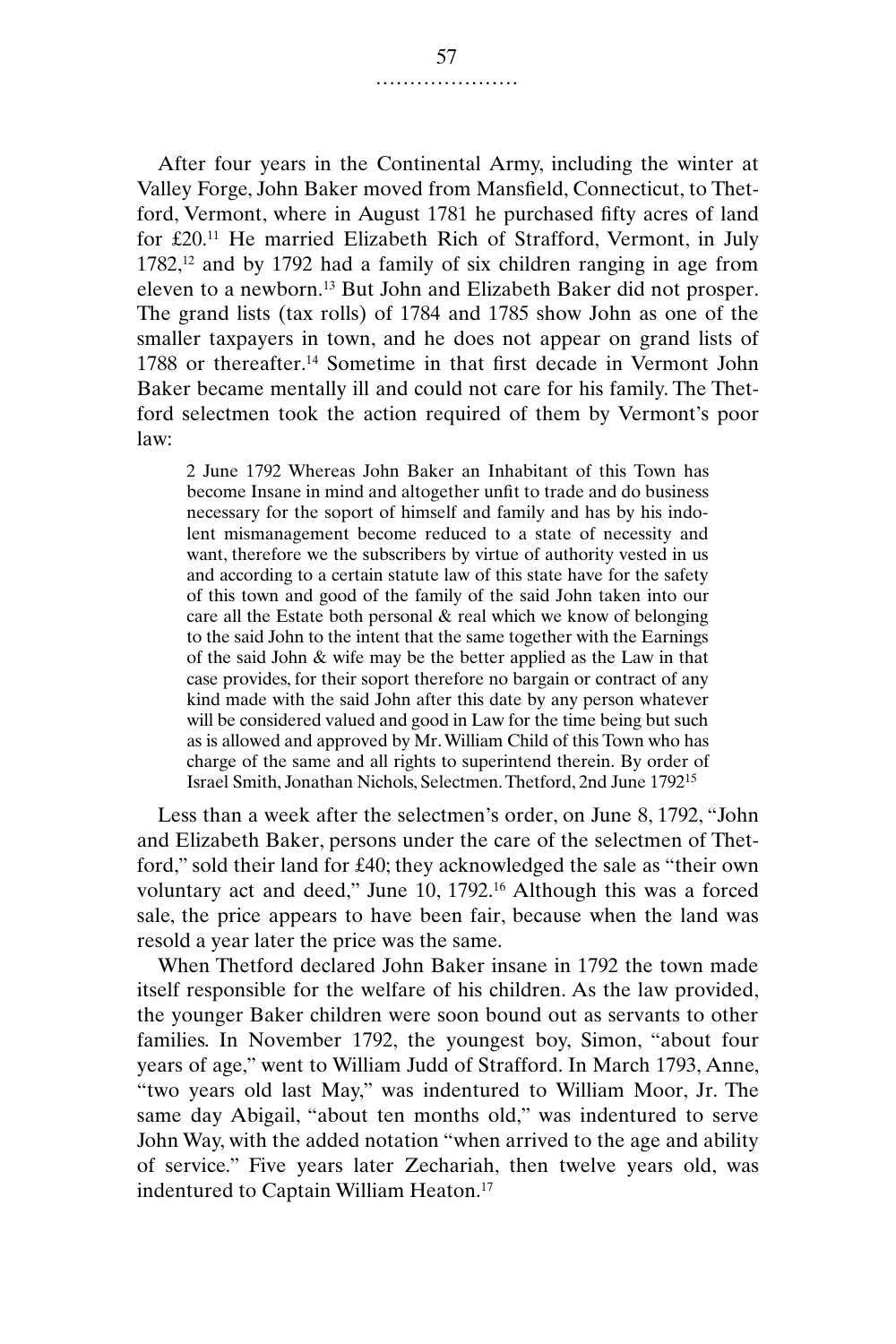After four years in the Continental Army, including the winter at Valley Forge, John Baker moved from Mansfield, Connecticut, to Thetford, Vermont, where in August 1781 he purchased fifty acres of land for £20.11 He married Elizabeth Rich of Strafford, Vermont, in July  $1782$ ,<sup>12</sup> and by 1792 had a family of six children ranging in age from eleven to a newborn.13 But John and Elizabeth Baker did not prosper. The grand lists (tax rolls) of 1784 and 1785 show John as one of the smaller taxpayers in town, and he does not appear on grand lists of 1788 or thereafter.<sup>14</sup> Sometime in that first decade in Vermont John Baker became mentally ill and could not care for his family. The Thetford selectmen took the action required of them by Vermont's poor law:

2 June 1792 Whereas John Baker an Inhabitant of this Town has become Insane in mind and altogether unfit to trade and do business necessary for the soport of himself and family and has by his indolent mismanagement become reduced to a state of necessity and want, therefore we the subscribers by virtue of authority vested in us and according to a certain statute law of this state have for the safety of this town and good of the family of the said John taken into our care all the Estate both personal & real which we know of belonging to the said John to the intent that the same together with the Earnings of the said John & wife may be the better applied as the Law in that case provides, for their soport therefore no bargain or contract of any kind made with the said John after this date by any person whatever will be considered valued and good in Law for the time being but such as is allowed and approved by Mr. William Child of this Town who has charge of the same and all rights to superintend therein. By order of Israel Smith, Jonathan Nichols, Selectmen. Thetford, 2nd June 179215

Less than a week after the selectmen's order, on June 8, 1792, "John and Elizabeth Baker, persons under the care of the selectmen of Thetford," sold their land for £40; they acknowledged the sale as "their own voluntary act and deed," June 10, 1792.16 Although this was a forced sale, the price appears to have been fair, because when the land was resold a year later the price was the same.

When Thetford declared John Baker insane in 1792 the town made itself responsible for the welfare of his children. As the law provided, the younger Baker children were soon bound out as servants to other families. In November 1792, the youngest boy, Simon, "about four years of age," went to William Judd of Strafford. In March 1793, Anne, "two years old last May," was indentured to William Moor, Jr. The same day Abigail, "about ten months old," was indentured to serve John Way, with the added notation "when arrived to the age and ability of service." Five years later Zechariah, then twelve years old, was indentured to Captain William Heaton.17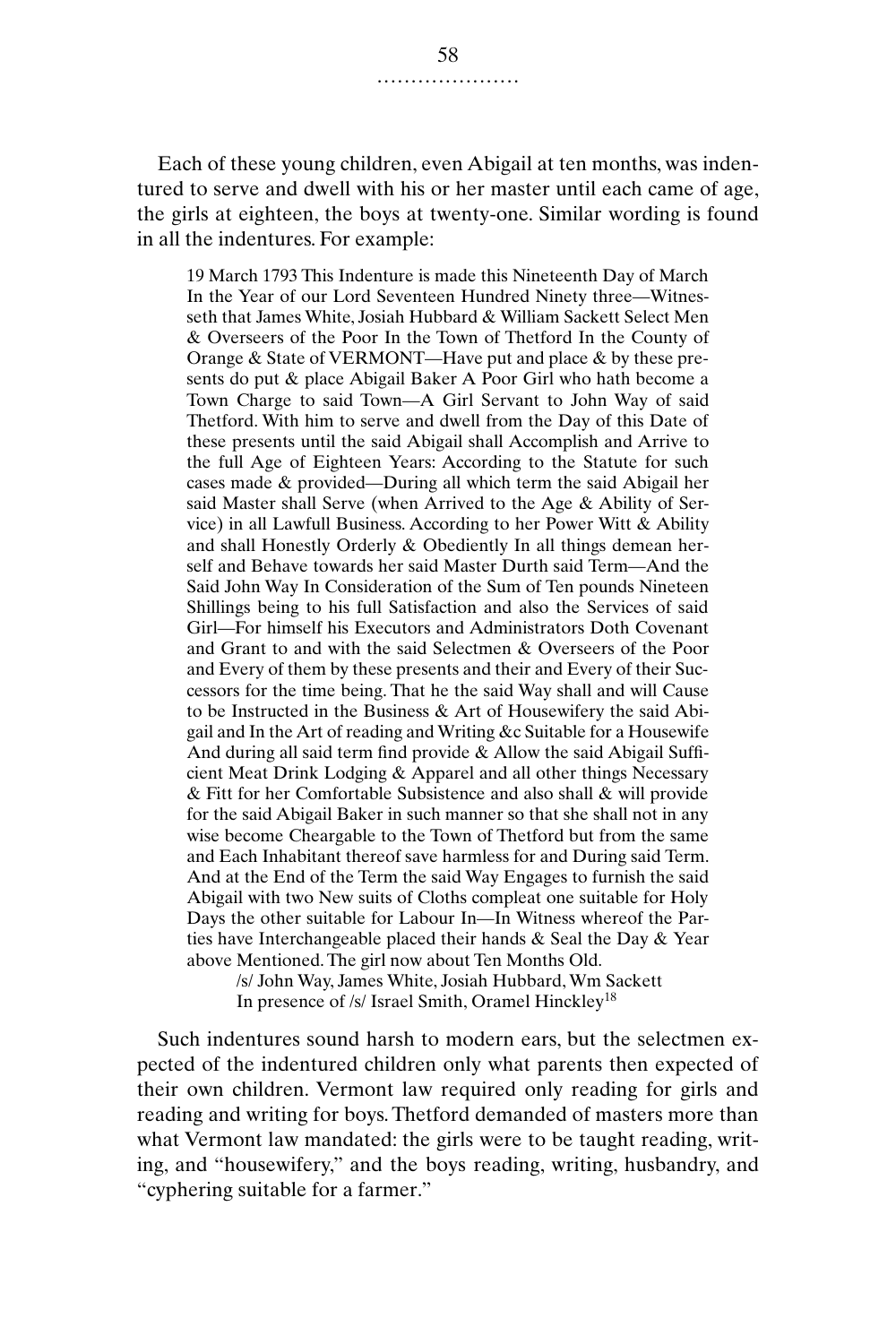Each of these young children, even Abigail at ten months, was indentured to serve and dwell with his or her master until each came of age, the girls at eighteen, the boys at twenty-one. Similar wording is found in all the indentures. For example:

19 March 1793 This Indenture is made this Nineteenth Day of March In the Year of our Lord Seventeen Hundred Ninety three—Witnesseth that James White, Josiah Hubbard & William Sackett Select Men & Overseers of the Poor In the Town of Thetford In the County of Orange & State of VERMONT—Have put and place & by these presents do put & place Abigail Baker A Poor Girl who hath become a Town Charge to said Town—A Girl Servant to John Way of said Thetford. With him to serve and dwell from the Day of this Date of these presents until the said Abigail shall Accomplish and Arrive to the full Age of Eighteen Years: According to the Statute for such cases made & provided—During all which term the said Abigail her said Master shall Serve (when Arrived to the Age & Ability of Service) in all Lawfull Business. According to her Power Witt & Ability and shall Honestly Orderly & Obediently In all things demean herself and Behave towards her said Master Durth said Term—And the Said John Way In Consideration of the Sum of Ten pounds Nineteen Shillings being to his full Satisfaction and also the Services of said Girl—For himself his Executors and Administrators Doth Covenant and Grant to and with the said Selectmen & Overseers of the Poor and Every of them by these presents and their and Every of their Successors for the time being. That he the said Way shall and will Cause to be Instructed in the Business & Art of Housewifery the said Abigail and In the Art of reading and Writing &c Suitable for a Housewife And during all said term find provide & Allow the said Abigail Sufficient Meat Drink Lodging & Apparel and all other things Necessary & Fitt for her Comfortable Subsistence and also shall & will provide for the said Abigail Baker in such manner so that she shall not in any wise become Cheargable to the Town of Thetford but from the same and Each Inhabitant thereof save harmless for and During said Term. And at the End of the Term the said Way Engages to furnish the said Abigail with two New suits of Cloths compleat one suitable for Holy Days the other suitable for Labour In—In Witness whereof the Parties have Interchangeable placed their hands & Seal the Day & Year above Mentioned. The girl now about Ten Months Old.

/s/ John Way, James White, Josiah Hubbard, Wm Sackett In presence of /s/ Israel Smith, Oramel Hinckley<sup>18</sup>

Such indentures sound harsh to modern ears, but the selectmen expected of the indentured children only what parents then expected of their own children. Vermont law required only reading for girls and reading and writing for boys. Thetford demanded of masters more than what Vermont law mandated: the girls were to be taught reading, writing, and "housewifery," and the boys reading, writing, husbandry, and "cyphering suitable for a farmer."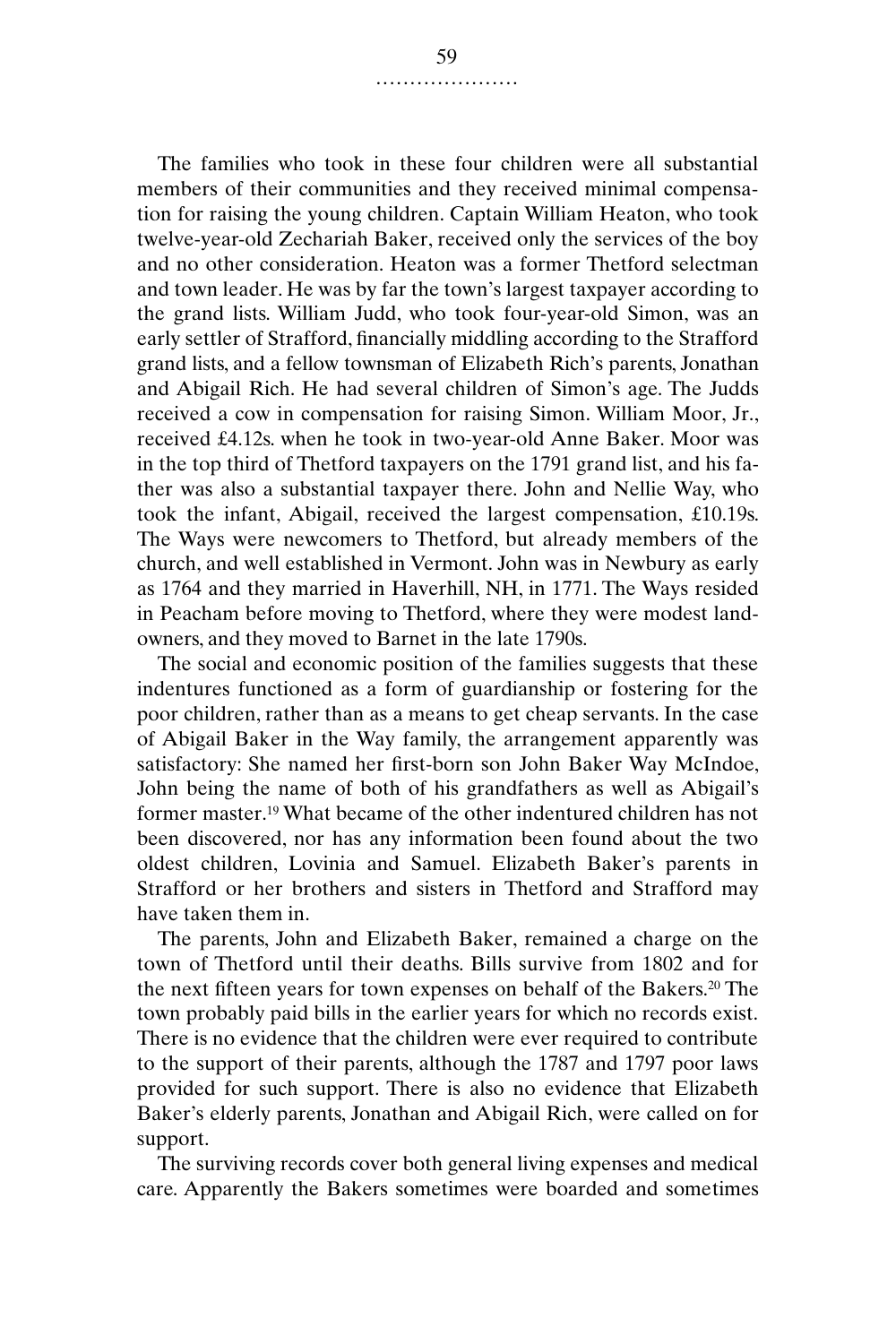The families who took in these four children were all substantial members of their communities and they received minimal compensation for raising the young children. Captain William Heaton, who took twelve-year-old Zechariah Baker, received only the services of the boy and no other consideration. Heaton was a former Thetford selectman and town leader. He was by far the town's largest taxpayer according to the grand lists. William Judd, who took four-year-old Simon, was an early settler of Strafford, financially middling according to the Strafford grand lists, and a fellow townsman of Elizabeth Rich's parents, Jonathan and Abigail Rich. He had several children of Simon's age. The Judds received a cow in compensation for raising Simon. William Moor, Jr., received £4.12s. when he took in two-year-old Anne Baker. Moor was in the top third of Thetford taxpayers on the 1791 grand list, and his father was also a substantial taxpayer there. John and Nellie Way, who took the infant, Abigail, received the largest compensation, £10.19s. The Ways were newcomers to Thetford, but already members of the church, and well established in Vermont. John was in Newbury as early as 1764 and they married in Haverhill, NH, in 1771. The Ways resided in Peacham before moving to Thetford, where they were modest landowners, and they moved to Barnet in the late 1790s.

The social and economic position of the families suggests that these indentures functioned as a form of guardianship or fostering for the poor children, rather than as a means to get cheap servants. In the case of Abigail Baker in the Way family, the arrangement apparently was satisfactory: She named her first-born son John Baker Way McIndoe, John being the name of both of his grandfathers as well as Abigail's former master.19 What became of the other indentured children has not been discovered, nor has any information been found about the two oldest children, Lovinia and Samuel. Elizabeth Baker's parents in Strafford or her brothers and sisters in Thetford and Strafford may have taken them in.

The parents, John and Elizabeth Baker, remained a charge on the town of Thetford until their deaths. Bills survive from 1802 and for the next fifteen years for town expenses on behalf of the Bakers.20 The town probably paid bills in the earlier years for which no records exist. There is no evidence that the children were ever required to contribute to the support of their parents, although the 1787 and 1797 poor laws provided for such support. There is also no evidence that Elizabeth Baker's elderly parents, Jonathan and Abigail Rich, were called on for support.

The surviving records cover both general living expenses and medical care. Apparently the Bakers sometimes were boarded and sometimes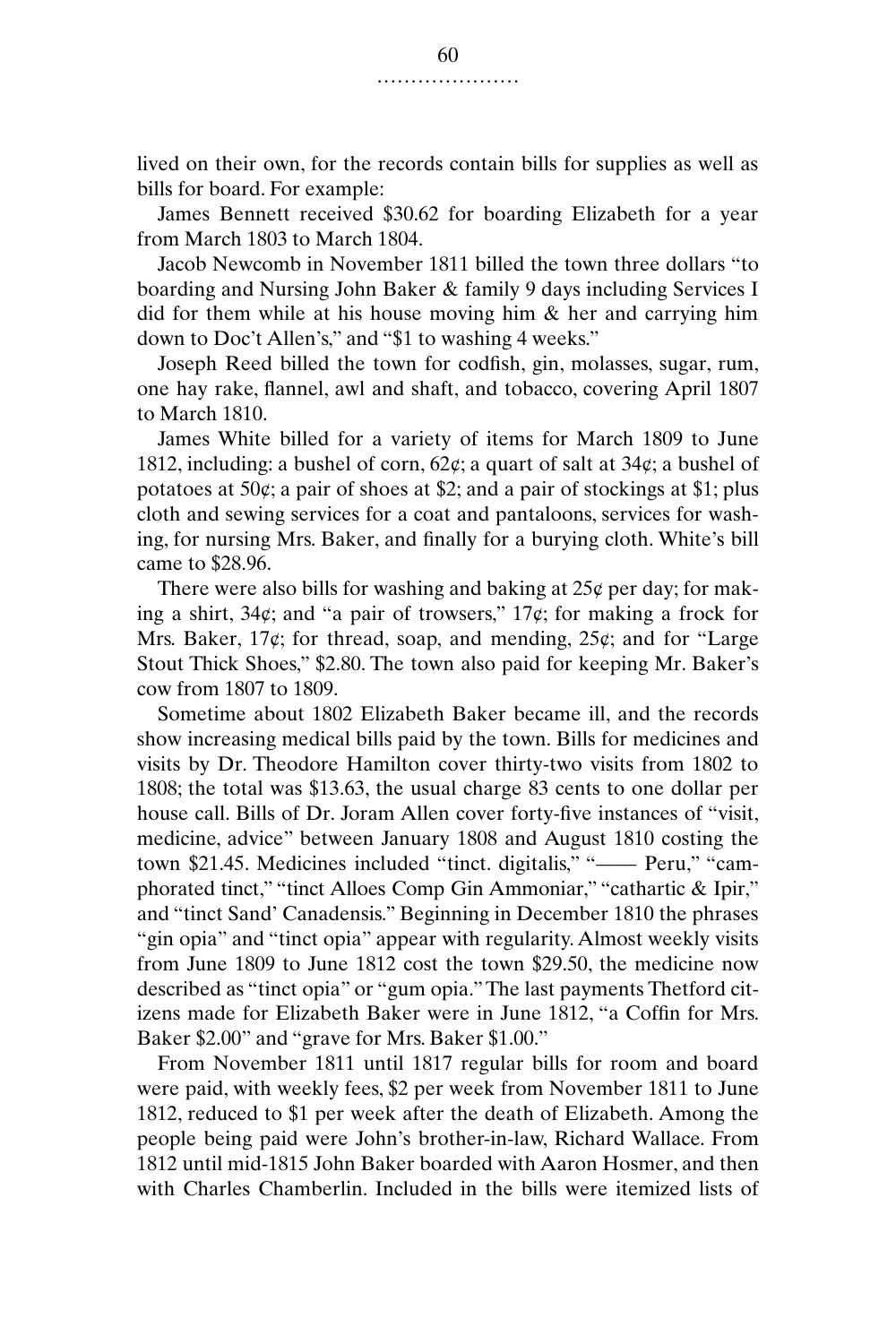lived on their own, for the records contain bills for supplies as well as bills for board. For example:

James Bennett received \$30.62 for boarding Elizabeth for a year from March 1803 to March 1804.

Jacob Newcomb in November 1811 billed the town three dollars "to boarding and Nursing John Baker & family 9 days including Services I did for them while at his house moving him & her and carrying him down to Doc't Allen's," and "\$1 to washing 4 weeks."

Joseph Reed billed the town for codfish, gin, molasses, sugar, rum, one hay rake, flannel, awl and shaft, and tobacco, covering April 1807 to March 1810.

James White billed for a variety of items for March 1809 to June 1812, including: a bushel of corn,  $62¢$ ; a quart of salt at  $34¢$ ; a bushel of potatoes at 50¢; a pair of shoes at \$2; and a pair of stockings at \$1; plus cloth and sewing services for a coat and pantaloons, services for washing, for nursing Mrs. Baker, and finally for a burying cloth. White's bill came to \$28.96.

There were also bills for washing and baking at  $25¢$  per day; for making a shirt, 34¢; and "a pair of trowsers," 17¢; for making a frock for Mrs. Baker, 17¢; for thread, soap, and mending, 25¢; and for "Large Stout Thick Shoes," \$2.80. The town also paid for keeping Mr. Baker's cow from 1807 to 1809.

Sometime about 1802 Elizabeth Baker became ill, and the records show increasing medical bills paid by the town. Bills for medicines and visits by Dr. Theodore Hamilton cover thirty-two visits from 1802 to 1808; the total was \$13.63, the usual charge 83 cents to one dollar per house call. Bills of Dr. Joram Allen cover forty-five instances of "visit, medicine, advice" between January 1808 and August 1810 costing the town \$21.45. Medicines included "tinct. digitalis," "--- Peru," "camphorated tinct," "tinct Alloes Comp Gin Ammoniar," "cathartic & Ipir," and "tinct Sand' Canadensis." Beginning in December 1810 the phrases "gin opia" and "tinct opia" appear with regularity. Almost weekly visits from June 1809 to June 1812 cost the town \$29.50, the medicine now described as "tinct opia" or "gum opia." The last payments Thetford citizens made for Elizabeth Baker were in June 1812, "a Coffin for Mrs. Baker \$2.00" and "grave for Mrs. Baker \$1.00."

From November 1811 until 1817 regular bills for room and board were paid, with weekly fees, \$2 per week from November 1811 to June 1812, reduced to \$1 per week after the death of Elizabeth. Among the people being paid were John's brother-in-law, Richard Wallace. From 1812 until mid-1815 John Baker boarded with Aaron Hosmer, and then with Charles Chamberlin. Included in the bills were itemized lists of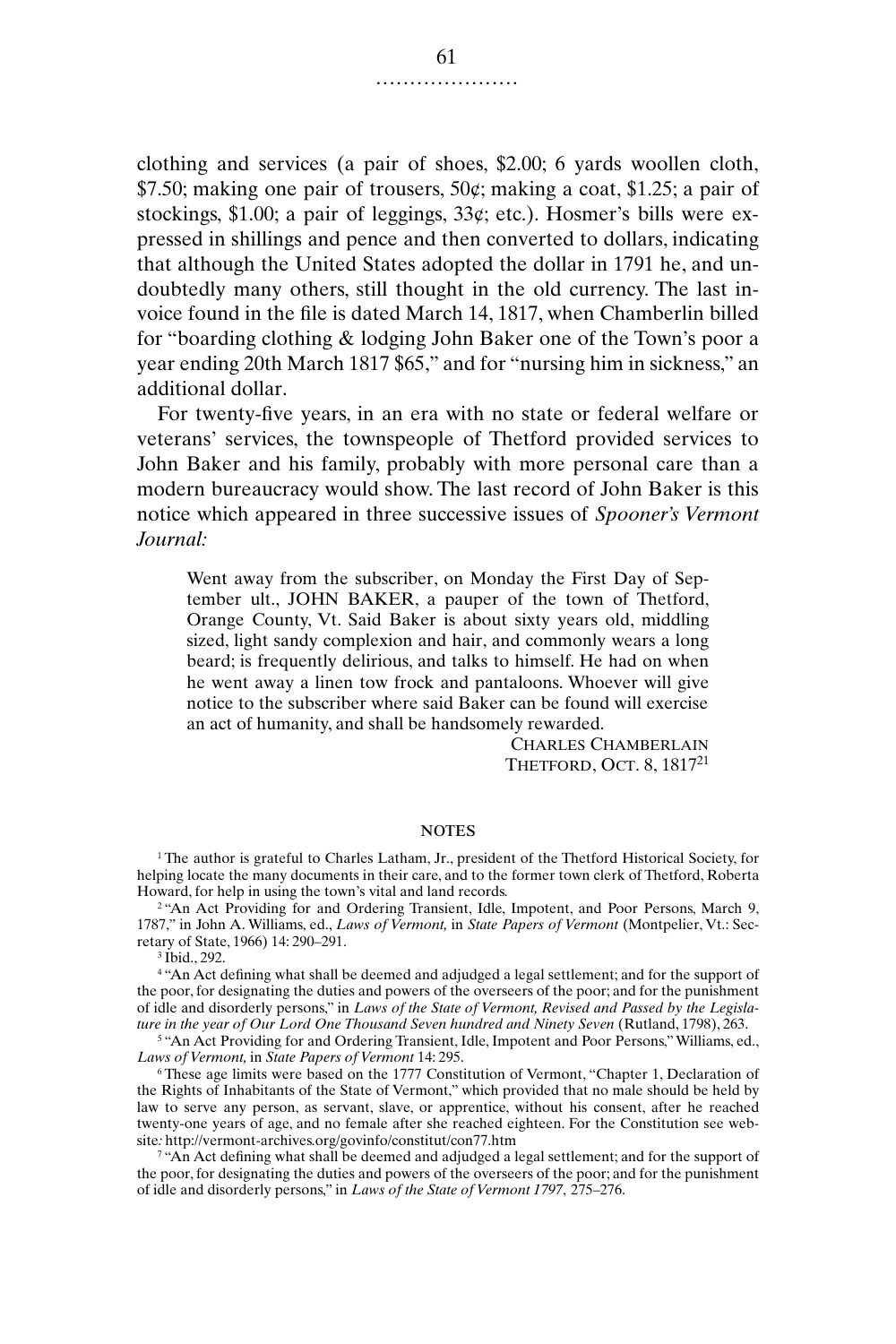clothing and services (a pair of shoes, \$2.00; 6 yards woollen cloth, \$7.50; making one pair of trousers,  $50¢$ ; making a coat, \$1.25; a pair of stockings,  $$1.00$ ; a pair of leggings,  $33¢$ ; etc.). Hosmer's bills were expressed in shillings and pence and then converted to dollars, indicating that although the United States adopted the dollar in 1791 he, and undoubtedly many others, still thought in the old currency. The last invoice found in the file is dated March 14, 1817, when Chamberlin billed for "boarding clothing & lodging John Baker one of the Town's poor a year ending 20th March 1817 \$65," and for "nursing him in sickness," an additional dollar.

For twenty-five years, in an era with no state or federal welfare or veterans' services, the townspeople of Thetford provided services to John Baker and his family, probably with more personal care than a modern bureaucracy would show. The last record of John Baker is this notice which appeared in three successive issues of *Spooner's Vermont Journal:*

Went away from the subscriber, on Monday the First Day of September ult., JOHN BAKER, a pauper of the town of Thetford, Orange County, Vt. Said Baker is about sixty years old, middling sized, light sandy complexion and hair, and commonly wears a long beard; is frequently delirious, and talks to himself. He had on when he went away a linen tow frock and pantaloons. Whoever will give notice to the subscriber where said Baker can be found will exercise an act of humanity, and shall be handsomely rewarded.

> CHARLES CHAMBERLAIN THETFORD, OCT. 8, 1817<sup>21</sup>

## **NOTES**

<sup>1</sup>The author is grateful to Charles Latham, Jr., president of the Thetford Historical Society, for helping locate the many documents in their care, and to the former town clerk of Thetford, Roberta Howard, for help in using the town's vital and land records.

<sup>2</sup> "An Act Providing for and Ordering Transient, Idle, Impotent, and Poor Persons, March 9, 1787," in John A. Williams, ed., *Laws of Vermont,* in *State Papers of Vermont* (Montpelier, Vt.: Secretary of State, 1966) 14: 290–291.

<sup>3</sup> Ibid., 292.

<sup>4</sup> "An Act defining what shall be deemed and adjudged a legal settlement; and for the support of the poor, for designating the duties and powers of the overseers of the poor; and for the punishment of idle and disorderly persons," in *Laws of the State of Vermont, Revised and Passed by the Legislature in the year of Our Lord One Thousand Seven hundred and Ninety Seven* (Rutland, 1798), 263.

<sup>5</sup> "An Act Providing for and Ordering Transient, Idle, Impotent and Poor Persons," Williams, ed., *Laws of Vermont,* in *State Papers of Vermont* 14: 295.

<sup>6</sup> These age limits were based on the 1777 Constitution of Vermont, "Chapter 1, Declaration of the Rights of Inhabitants of the State of Vermont," which provided that no male should be held by law to serve any person, as servant, slave, or apprentice, without his consent, after he reached twenty-one years of age, and no female after she reached eighteen. For the Constitution see website*:* http://vermont-archives.org/govinfo/constitut/con77.htm

 $\gamma$  "An Act defining what shall be deemed and adjudged a legal settlement; and for the support of the poor, for designating the duties and powers of the overseers of the poor; and for the punishment of idle and disorderly persons," in *Laws of the State of Vermont 1797*, 275–276.

.....................